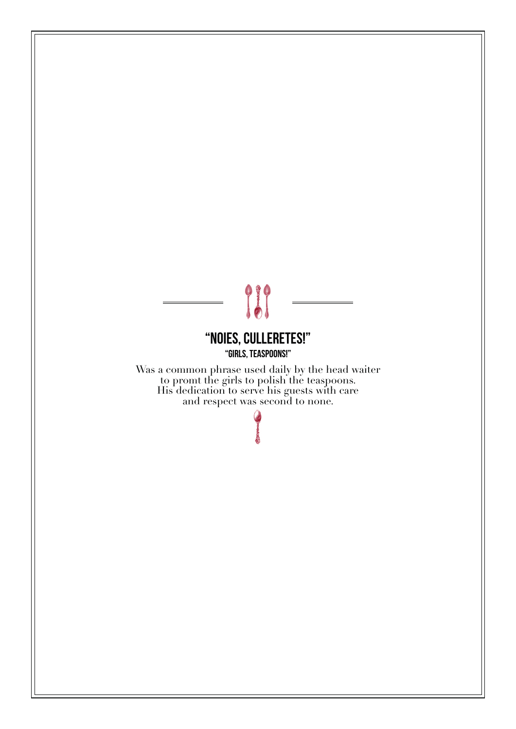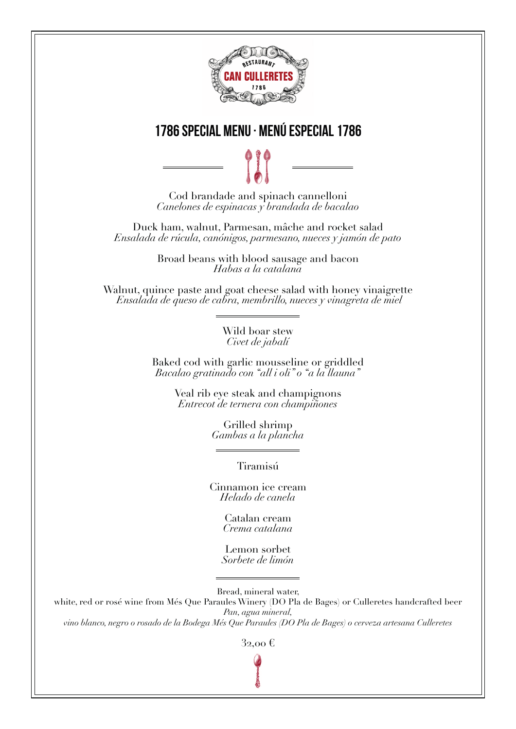

## **1786 SPECIAL MENU · MENÚ ESPECIAL 1786**

Cod brandade and spinach cannelloni *Canelones de espinacas y brandada de bacalao* 

Duck ham, walnut, Parmesan, mâche and rocket salad *Ensalada de rúcula, canónigos, parmesano, nueces y jamón de pato*

> Broad beans with blood sausage and bacon *Habas a la catalana*

Walnut, quince paste and goat cheese salad with honey vinaigrette *Ensalada de queso de cabra, membrillo, nueces y vinagreta de miel*

> Wild boar stew *Civet de jabalí*

Baked cod with garlic mousseline or griddled *Bacalao gratinado con "all i oli" o "a la llauna"*

> Veal rib eye steak and champignons *Entrecot de ternera con champiñones*

> > Grilled shrimp *Gambas a la plancha*

> > > Tiramisú

Cinnamon ice cream *Helado de canela*

> Catalan cream *Crema catalana*

Lemon sorbet *Sorbete de limón*

Bread, mineral water,

white, red or rosé wine from Més Que Paraules Winery (DO Pla de Bages) or Culleretes handcrafted beer *Pan, agua mineral,* 

*vino blanco, negro o rosado de la Bodega Més Que Paraules (DO Pla de Bages) o cerveza artesana Culleretes*

32,00 €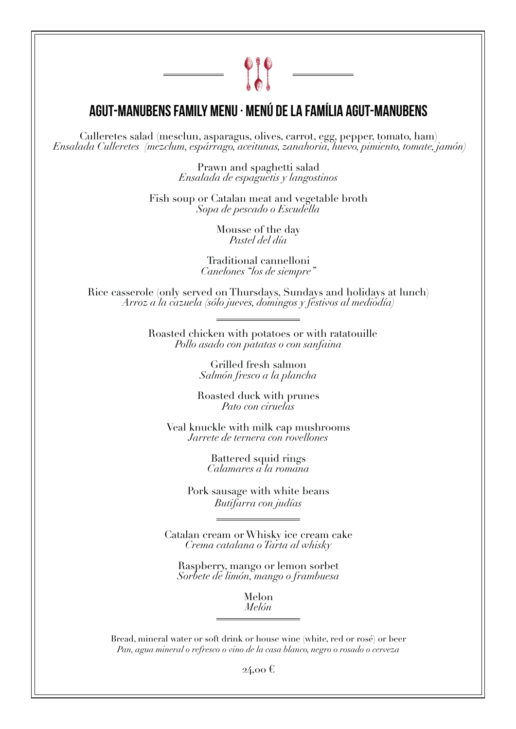## **AGUT-MANUBENS FAMILY MENU · MENÚ DE LA FAMÍLIA AGUT-MANUBENS**

 $\mathbf{C}$ 

Culleretes salad (mesclun, asparagus, olives, carrot, egg, pepper, tomato, ham) *Ensalada Culleretes (mezclum, espárrago, aceitunas, zanahoria, huevo, pimiento, tomate, jamón)*

Prawn and spaghetti salad *Ensalada de espaguetis y langostinos*

Fish soup or Catalan meat and vegetable broth *Sopa de pescado o Escudella*

Mousse of the day *Pastel del día*

Traditional cannelloni *Canelones "los de siempre"*

Rice casserole (only served on Thursdays, Sundays and holidays at lunch) *Arroz a la cazuela (sólo jueves, domingos y festivos al mediodía)* 

Roasted chicken with potatoes or with ratatouille *Pollo asado con patatas o con sanfaina*

Grilled fresh salmon *Salmón fresco a la plancha*

Roasted duck with prunes *Pato con ciruelas*

Veal knuckle with milk cap mushrooms *Jarrete de ternera con rovellones*

Battered squid rings *Calamares a la romana*

Pork sausage with white beans *Butifarra con judías*

Catalan cream or Whisky ice cream cake *Crema catalana o Tarta al whisky*

Raspberry, mango or lemon sorbet *Sorbete de limón, mango o frambuesa*

> Melon *Melón*

Bread, mineral water or soft drink or house wine (white, red or rosé) or beer *Pan, agua mineral o refresco o vino de la casa blanco, negro o rosado o cerveza*

24,00 €